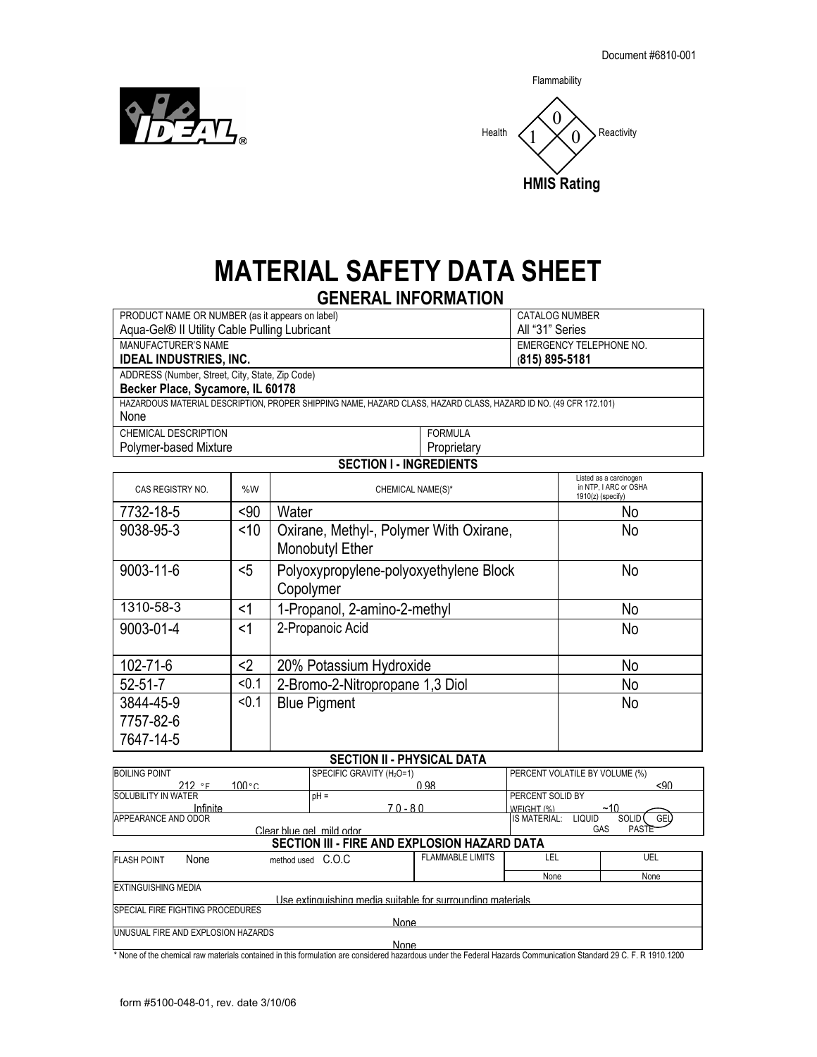

**Reactivity HMIS Rating**  $\overline{0}$ 0 Health

Flammability

# **MATERIAL SAFETY DATA SHEET**

## **GENERAL INFORMATION**

| PRODUCT NAME OR NUMBER (as it appears on label)                                                                  | <b>CATALOG NUMBER</b>          |  |
|------------------------------------------------------------------------------------------------------------------|--------------------------------|--|
| Aqua-Gel® II Utility Cable Pulling Lubricant                                                                     | All "31" Series                |  |
| MANUFACTURER'S NAME                                                                                              | <b>EMERGENCY TELEPHONE NO.</b> |  |
| <b>IDEAL INDUSTRIES, INC.</b>                                                                                    | (815) 895-5181                 |  |
| ADDRESS (Number, Street, City, State, Zip Code)                                                                  |                                |  |
| Becker Place, Sycamore, IL 60178                                                                                 |                                |  |
| HAZARDOUS MATERIAL DESCRIPTION, PROPER SHIPPING NAME, HAZARD CLASS, HAZARD CLASS, HAZARD ID NO. (49 CFR 172.101) |                                |  |
| None                                                                                                             |                                |  |
| CHEMICAL DESCRIPTION                                                                                             | <b>FORMULA</b>                 |  |

| Polymer-based Mixture |
|-----------------------|

#### **Proprietary SECTION I - INGREDIENTS**

| CAS REGISTRY NO. | %W     | CHEMICAL NAME(S)*                                          | Listed as a carcinogen<br>in NTP, I ARC or OSHA<br>$1910(z)$ (specify) |  |  |
|------------------|--------|------------------------------------------------------------|------------------------------------------------------------------------|--|--|
| 7732-18-5        | $90$   | Water                                                      | No                                                                     |  |  |
| 9038-95-3        | $<$ 10 | Oxirane, Methyl-, Polymer With Oxirane,<br>Monobutyl Ether | No                                                                     |  |  |
| 9003-11-6        | $5$    | Polyoxypropylene-polyoxyethylene Block<br>Copolymer        | No                                                                     |  |  |
| 1310-58-3        | <1     | 1-Propanol, 2-amino-2-methyl                               | No                                                                     |  |  |
| 9003-01-4        | $<$ 1  | 2-Propanoic Acid                                           | No                                                                     |  |  |
| $102 - 71 - 6$   | $2$    | 20% Potassium Hydroxide                                    | No                                                                     |  |  |
| $52 - 51 - 7$    | < 0.1  | 2-Bromo-2-Nitropropane 1.3 Diol                            | No                                                                     |  |  |
| 3844-45-9        | < 0.1  | <b>Blue Pigment</b>                                        | No                                                                     |  |  |
| 7757-82-6        |        |                                                            |                                                                        |  |  |
| 7647-14-5        |        |                                                            |                                                                        |  |  |

#### **SECTION II - PHYSICAL DATA**

|                                              |                                       | <u>ULUI UN II - I III UIUAL DATA</u> |                                |                           |
|----------------------------------------------|---------------------------------------|--------------------------------------|--------------------------------|---------------------------|
| <b>BOILING POINT</b>                         | SPECIFIC GRAVITY (H <sub>2</sub> O=1) |                                      | PERCENT VOLATILE BY VOLUME (%) |                           |
| 212 °F<br>100 $^{\circ}$ C                   |                                       | 0.98                                 |                                | <90                       |
| <b>SOLUBILITY IN WATER</b>                   | $pH =$                                |                                      | PERCENT SOLID BY               |                           |
| Infinite<br>$70 - 80$                        |                                       | WEIGHT (%)                           | ~10                            |                           |
| APPEARANCE AND ODOR                          |                                       |                                      | IS MATERIAL:<br><b>LIQUID</b>  | GEL<br>SOLID <sup>(</sup> |
|                                              | Clear blue gel mild odor              |                                      |                                | GAS<br>PASTE              |
| SECTION III - FIRE AND EXPLOSION HAZARD DATA |                                       |                                      |                                |                           |
| None<br><b>FLASH POINT</b>                   | method used C.O.C                     | <b>FLAMMABLE LIMITS</b>              | LEL                            | UEL                       |
|                                              |                                       |                                      | None                           | None                      |
| <b>EXTINGUISHING MEDIA</b>                   |                                       |                                      |                                |                           |

Use extinguishing media suitable for surrounding materials SPECIAL FIRE FIGHTING PROCEDURES

|                                    | None |
|------------------------------------|------|
| UNUSUAL FIRE AND EXPLOSION HAZARDS |      |
|                                    | None |

None of the chemical raw materials contained in this formulation are considered hazardous under the Federal Hazards Communication Standard 29 C. F. R 1910.1200<br>\*None of the chemical raw materials contained in this formulat